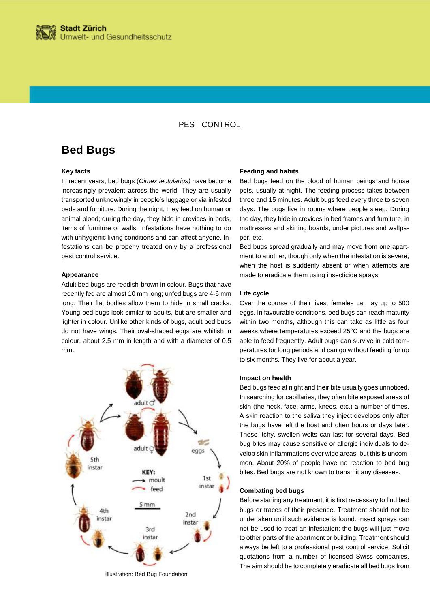

# PEST CONTROL

# **Bed Bugs**

# **Key facts**

In recent years, bed bugs (*Cimex lectularius)* have become increasingly prevalent across the world. They are usually transported unknowingly in people's luggage or via infested beds and furniture. During the night, they feed on human or animal blood; during the day, they hide in crevices in beds, items of furniture or walls. Infestations have nothing to do with unhygienic living conditions and can affect anyone. Infestations can be properly treated only by a professional pest control service.

#### **Appearance**

Adult bed bugs are reddish-brown in colour. Bugs that have recently fed are almost 10 mm long; unfed bugs are 4-6 mm long. Their flat bodies allow them to hide in small cracks. Young bed bugs look similar to adults, but are smaller and lighter in colour. Unlike other kinds of bugs, adult bed bugs do not have wings. Their oval-shaped eggs are whitish in colour, about 2.5 mm in length and with a diameter of 0.5 mm.



Illustration: Bed Bug Foundation

#### **Feeding and habits**

Bed bugs feed on the blood of human beings and house pets, usually at night. The feeding process takes between three and 15 minutes. Adult bugs feed every three to seven days. The bugs live in rooms where people sleep. During the day, they hide in crevices in bed frames and furniture, in mattresses and skirting boards, under pictures and wallpaper, etc.

Bed bugs spread gradually and may move from one apartment to another, though only when the infestation is severe, when the host is suddenly absent or when attempts are made to eradicate them using insecticide sprays.

#### **Life cycle**

Over the course of their lives, females can lay up to 500 eggs. In favourable conditions, bed bugs can reach maturity within two months, although this can take as little as four weeks where temperatures exceed 25°C and the bugs are able to feed frequently. Adult bugs can survive in cold temperatures for long periods and can go without feeding for up to six months. They live for about a year.

#### **Impact on health**

Bed bugs feed at night and their bite usually goes unnoticed. In searching for capillaries, they often bite exposed areas of skin (the neck, face, arms, knees, etc.) a number of times. A skin reaction to the saliva they inject develops only after the bugs have left the host and often hours or days later. These itchy, swollen welts can last for several days. Bed bug bites may cause sensitive or allergic individuals to develop skin inflammations over wide areas, but this is uncommon. About 20% of people have no reaction to bed bug bites. Bed bugs are not known to transmit any diseases.

## **Combating bed bugs**

Before starting any treatment, it is first necessary to find bed bugs or traces of their presence. Treatment should not be undertaken until such evidence is found. Insect sprays can not be used to treat an infestation; the bugs will just move to other parts of the apartment or building. Treatment should always be left to a professional pest control service. Solicit quotations from a number of licensed Swiss companies. The aim should be to completely eradicate all bed bugs from